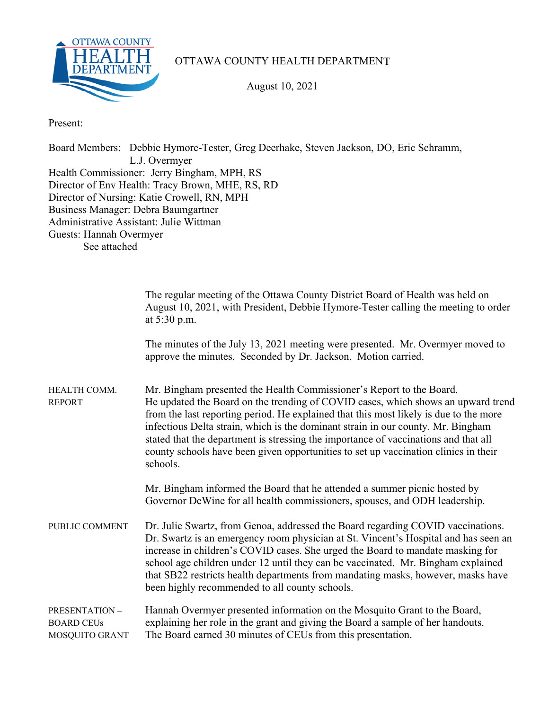

## OTTAWA COUNTY HEALTH DEPARTMENT

August 10, 2021

Present:

Board Members: Debbie Hymore-Tester, Greg Deerhake, Steven Jackson, DO, Eric Schramm, L.J. Overmyer Health Commissioner: Jerry Bingham, MPH, RS Director of Env Health: Tracy Brown, MHE, RS, RD Director of Nursing: Katie Crowell, RN, MPH Business Manager: Debra Baumgartner Administrative Assistant: Julie Wittman Guests: Hannah Overmyer See attached

|                                                      | The regular meeting of the Ottawa County District Board of Health was held on<br>August 10, 2021, with President, Debbie Hymore-Tester calling the meeting to order<br>at 5:30 p.m.                                                                                                                                                                                                                                                                                                                                             |
|------------------------------------------------------|---------------------------------------------------------------------------------------------------------------------------------------------------------------------------------------------------------------------------------------------------------------------------------------------------------------------------------------------------------------------------------------------------------------------------------------------------------------------------------------------------------------------------------|
|                                                      | The minutes of the July 13, 2021 meeting were presented. Mr. Overmyer moved to<br>approve the minutes. Seconded by Dr. Jackson. Motion carried.                                                                                                                                                                                                                                                                                                                                                                                 |
| HEALTH COMM.<br><b>REPORT</b>                        | Mr. Bingham presented the Health Commissioner's Report to the Board.<br>He updated the Board on the trending of COVID cases, which shows an upward trend<br>from the last reporting period. He explained that this most likely is due to the more<br>infectious Delta strain, which is the dominant strain in our county. Mr. Bingham<br>stated that the department is stressing the importance of vaccinations and that all<br>county schools have been given opportunities to set up vaccination clinics in their<br>schools. |
|                                                      | Mr. Bingham informed the Board that he attended a summer picnic hosted by<br>Governor DeWine for all health commissioners, spouses, and ODH leadership.                                                                                                                                                                                                                                                                                                                                                                         |
| PUBLIC COMMENT                                       | Dr. Julie Swartz, from Genoa, addressed the Board regarding COVID vaccinations.<br>Dr. Swartz is an emergency room physician at St. Vincent's Hospital and has seen an<br>increase in children's COVID cases. She urged the Board to mandate masking for<br>school age children under 12 until they can be vaccinated. Mr. Bingham explained<br>that SB22 restricts health departments from mandating masks, however, masks have<br>been highly recommended to all county schools.                                              |
| PRESENTATION-<br><b>BOARD CEUs</b><br>MOSQUITO GRANT | Hannah Overmyer presented information on the Mosquito Grant to the Board,<br>explaining her role in the grant and giving the Board a sample of her handouts.<br>The Board earned 30 minutes of CEUs from this presentation.                                                                                                                                                                                                                                                                                                     |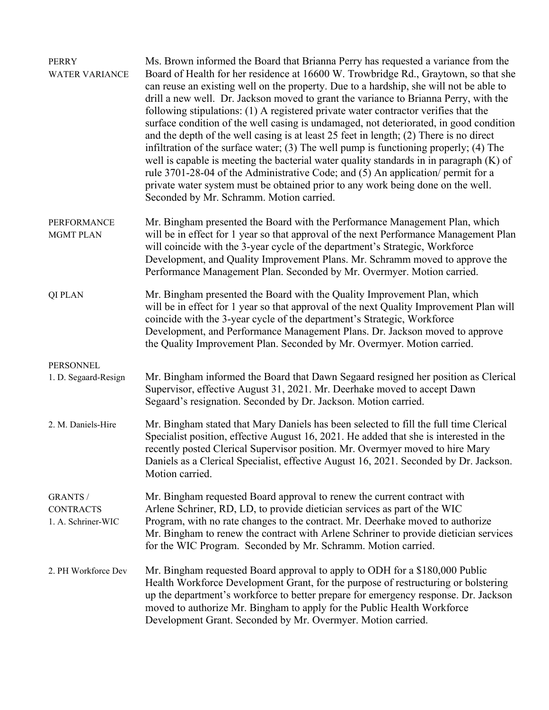| <b>PERRY</b><br><b>WATER VARIANCE</b>                     | Ms. Brown informed the Board that Brianna Perry has requested a variance from the<br>Board of Health for her residence at 16600 W. Trowbridge Rd., Graytown, so that she<br>can reuse an existing well on the property. Due to a hardship, she will not be able to<br>drill a new well. Dr. Jackson moved to grant the variance to Brianna Perry, with the<br>following stipulations: (1) A registered private water contractor verifies that the<br>surface condition of the well casing is undamaged, not deteriorated, in good condition<br>and the depth of the well casing is at least $25$ feet in length; $(2)$ There is no direct<br>infiltration of the surface water; $(3)$ The well pump is functioning properly; $(4)$ The<br>well is capable is meeting the bacterial water quality standards in in paragraph $(K)$ of<br>rule 3701-28-04 of the Administrative Code; and (5) An application/ permit for a<br>private water system must be obtained prior to any work being done on the well.<br>Seconded by Mr. Schramm. Motion carried. |
|-----------------------------------------------------------|--------------------------------------------------------------------------------------------------------------------------------------------------------------------------------------------------------------------------------------------------------------------------------------------------------------------------------------------------------------------------------------------------------------------------------------------------------------------------------------------------------------------------------------------------------------------------------------------------------------------------------------------------------------------------------------------------------------------------------------------------------------------------------------------------------------------------------------------------------------------------------------------------------------------------------------------------------------------------------------------------------------------------------------------------------|
| <b>PERFORMANCE</b><br><b>MGMT PLAN</b>                    | Mr. Bingham presented the Board with the Performance Management Plan, which<br>will be in effect for 1 year so that approval of the next Performance Management Plan<br>will coincide with the 3-year cycle of the department's Strategic, Workforce<br>Development, and Quality Improvement Plans. Mr. Schramm moved to approve the<br>Performance Management Plan. Seconded by Mr. Overmyer. Motion carried.                                                                                                                                                                                                                                                                                                                                                                                                                                                                                                                                                                                                                                         |
| <b>QI PLAN</b>                                            | Mr. Bingham presented the Board with the Quality Improvement Plan, which<br>will be in effect for 1 year so that approval of the next Quality Improvement Plan will<br>coincide with the 3-year cycle of the department's Strategic, Workforce<br>Development, and Performance Management Plans. Dr. Jackson moved to approve<br>the Quality Improvement Plan. Seconded by Mr. Overmyer. Motion carried.                                                                                                                                                                                                                                                                                                                                                                                                                                                                                                                                                                                                                                               |
| <b>PERSONNEL</b><br>1. D. Segaard-Resign                  | Mr. Bingham informed the Board that Dawn Segaard resigned her position as Clerical<br>Supervisor, effective August 31, 2021. Mr. Deerhake moved to accept Dawn<br>Segaard's resignation. Seconded by Dr. Jackson. Motion carried.                                                                                                                                                                                                                                                                                                                                                                                                                                                                                                                                                                                                                                                                                                                                                                                                                      |
| 2. M. Daniels-Hire                                        | Mr. Bingham stated that Mary Daniels has been selected to fill the full time Clerical<br>Specialist position, effective August 16, 2021. He added that she is interested in the<br>recently posted Clerical Supervisor position. Mr. Overmyer moved to hire Mary<br>Daniels as a Clerical Specialist, effective August 16, 2021. Seconded by Dr. Jackson.<br>Motion carried.                                                                                                                                                                                                                                                                                                                                                                                                                                                                                                                                                                                                                                                                           |
| <b>GRANTS /</b><br><b>CONTRACTS</b><br>1. A. Schriner-WIC | Mr. Bingham requested Board approval to renew the current contract with<br>Arlene Schriner, RD, LD, to provide dietician services as part of the WIC<br>Program, with no rate changes to the contract. Mr. Deerhake moved to authorize<br>Mr. Bingham to renew the contract with Arlene Schriner to provide dietician services<br>for the WIC Program. Seconded by Mr. Schramm. Motion carried.                                                                                                                                                                                                                                                                                                                                                                                                                                                                                                                                                                                                                                                        |
| 2. PH Workforce Dev                                       | Mr. Bingham requested Board approval to apply to ODH for a \$180,000 Public<br>Health Workforce Development Grant, for the purpose of restructuring or bolstering<br>up the department's workforce to better prepare for emergency response. Dr. Jackson<br>moved to authorize Mr. Bingham to apply for the Public Health Workforce<br>Development Grant. Seconded by Mr. Overmyer. Motion carried.                                                                                                                                                                                                                                                                                                                                                                                                                                                                                                                                                                                                                                                    |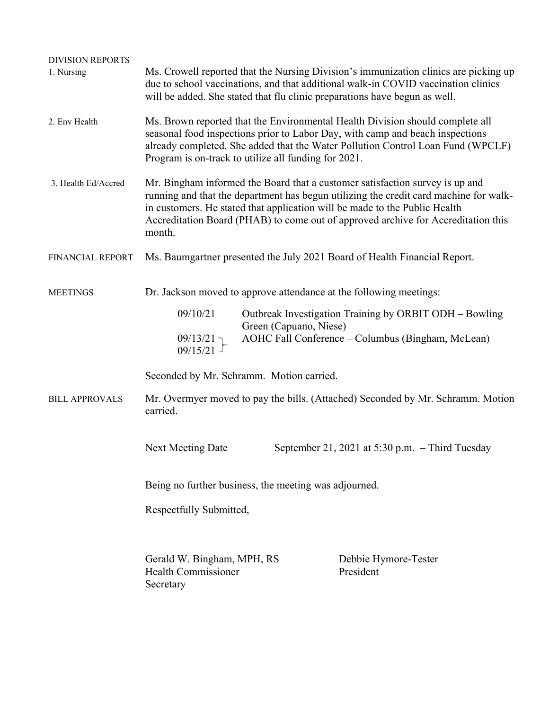| <b>DIVISION REPORTS</b><br>1. Nursing | Ms. Crowell reported that the Nursing Division's immunization clinics are picking up<br>due to school vaccinations, and that additional walk-in COVID vaccination clinics<br>will be added. She stated that flu clinic preparations have begun as well.                                                                                            |                                                                                                                                                                   |                                                                                 |  |  |
|---------------------------------------|----------------------------------------------------------------------------------------------------------------------------------------------------------------------------------------------------------------------------------------------------------------------------------------------------------------------------------------------------|-------------------------------------------------------------------------------------------------------------------------------------------------------------------|---------------------------------------------------------------------------------|--|--|
| 2. Env Health                         | Ms. Brown reported that the Environmental Health Division should complete all<br>seasonal food inspections prior to Labor Day, with camp and beach inspections<br>already completed. She added that the Water Pollution Control Loan Fund (WPCLF)<br>Program is on-track to utilize all funding for 2021.                                          |                                                                                                                                                                   |                                                                                 |  |  |
| 3. Health Ed/Accred                   | Mr. Bingham informed the Board that a customer satisfaction survey is up and<br>running and that the department has begun utilizing the credit card machine for walk-<br>in customers. He stated that application will be made to the Public Health<br>Accreditation Board (PHAB) to come out of approved archive for Accreditation this<br>month. |                                                                                                                                                                   |                                                                                 |  |  |
| FINANCIAL REPORT                      | Ms. Baumgartner presented the July 2021 Board of Health Financial Report.                                                                                                                                                                                                                                                                          |                                                                                                                                                                   |                                                                                 |  |  |
| <b>MEETINGS</b>                       | Dr. Jackson moved to approve attendance at the following meetings:                                                                                                                                                                                                                                                                                 |                                                                                                                                                                   |                                                                                 |  |  |
|                                       | 09/10/21                                                                                                                                                                                                                                                                                                                                           | Outbreak Investigation Training by ORBIT ODH - Bowling<br>Green (Capuano, Niese)<br>AOHC Fall Conference – Columbus (Bingham, McLean)<br>$09/13/21$ ]<br>09/15/21 |                                                                                 |  |  |
|                                       |                                                                                                                                                                                                                                                                                                                                                    |                                                                                                                                                                   |                                                                                 |  |  |
|                                       | Seconded by Mr. Schramm. Motion carried.                                                                                                                                                                                                                                                                                                           |                                                                                                                                                                   |                                                                                 |  |  |
| <b>BILL APPROVALS</b>                 | carried.                                                                                                                                                                                                                                                                                                                                           |                                                                                                                                                                   | Mr. Overmyer moved to pay the bills. (Attached) Seconded by Mr. Schramm. Motion |  |  |
|                                       | <b>Next Meeting Date</b>                                                                                                                                                                                                                                                                                                                           |                                                                                                                                                                   | September 21, 2021 at 5:30 p.m. $-$ Third Tuesday                               |  |  |
|                                       | Being no further business, the meeting was adjourned.                                                                                                                                                                                                                                                                                              |                                                                                                                                                                   |                                                                                 |  |  |
|                                       | Respectfully Submitted,                                                                                                                                                                                                                                                                                                                            |                                                                                                                                                                   |                                                                                 |  |  |
|                                       | Gerald W. Bingham, MPH, RS<br><b>Health Commissioner</b><br>Secretary                                                                                                                                                                                                                                                                              |                                                                                                                                                                   | Debbie Hymore-Tester<br>President                                               |  |  |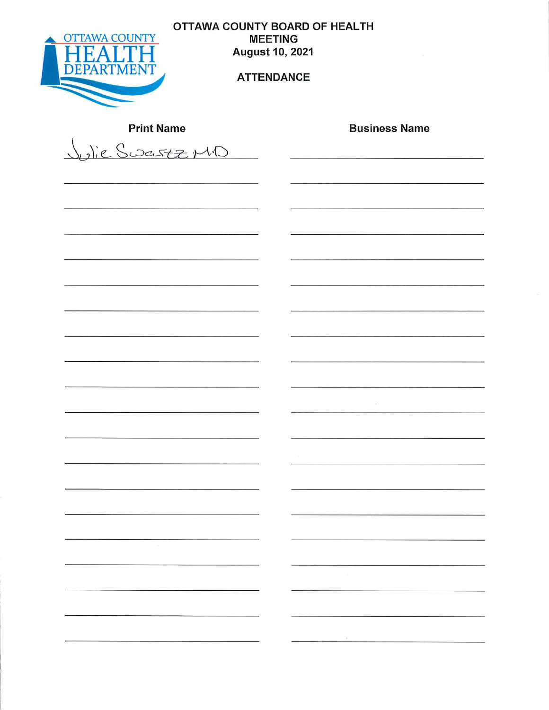

OTTAWA COUNTY BOARD OF HEALTH **MEETING August 10, 2021** 

## **ATTENDANCE**

| <b>Print Name</b>                  | <b>Business Name</b>     |
|------------------------------------|--------------------------|
| Julie Sweistz MD<br>$\overline{ }$ |                          |
|                                    |                          |
|                                    |                          |
|                                    |                          |
|                                    |                          |
|                                    |                          |
|                                    |                          |
|                                    |                          |
|                                    | $\mathcal{M}$            |
|                                    |                          |
|                                    | $\langle \alpha \rangle$ |
|                                    |                          |
|                                    |                          |
| $\langle \psi \rangle$             |                          |
|                                    | the control of the       |
|                                    |                          |
|                                    |                          |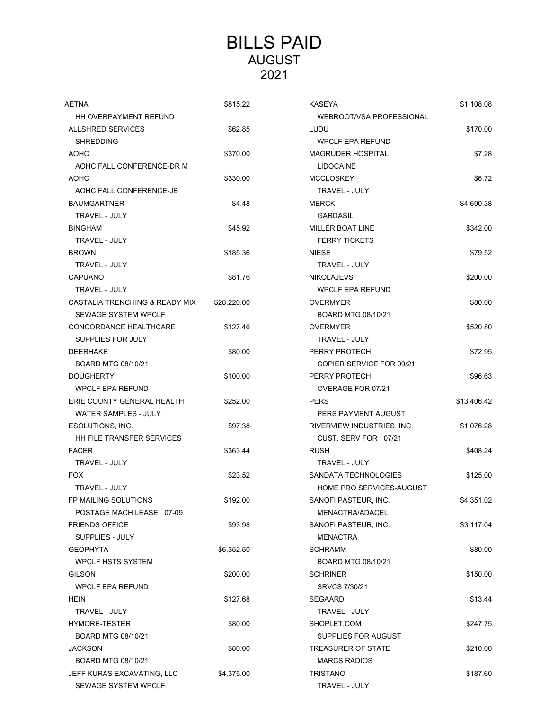## BILLS PAID AUGUST 2021

| AETNA                          | \$815.22    | <b>KASEYA</b>              | \$1,108.08  |
|--------------------------------|-------------|----------------------------|-------------|
| HH OVERPAYMENT REFUND          |             | WEBROOT/VSA PROFESSIONAL   |             |
| <b>ALLSHRED SERVICES</b>       | \$62.85     | LUDU                       | \$170.00    |
| <b>SHREDDING</b>               |             | <b>WPCLF EPA REFUND</b>    |             |
| <b>AOHC</b>                    | \$370.00    | <b>MAGRUDER HOSPITAL</b>   | \$7.28      |
| AOHC FALL CONFERENCE-DR M      |             | <b>LIDOCAINE</b>           |             |
| AOHC                           | \$330.00    | <b>MCCLOSKEY</b>           | \$6.72      |
| AOHC FALL CONFERENCE-JB        |             | <b>TRAVEL - JULY</b>       |             |
| <b>BAUMGARTNER</b>             | \$4.48      | <b>MERCK</b>               | \$4,690.38  |
| <b>TRAVEL - JULY</b>           |             | <b>GARDASIL</b>            |             |
| <b>BINGHAM</b>                 | \$45.92     | <b>MILLER BOAT LINE</b>    | \$342.00    |
| TRAVEL - JULY                  |             | <b>FERRY TICKETS</b>       |             |
| <b>BROWN</b>                   | \$185.36    | <b>NIESE</b>               | \$79.52     |
| <b>TRAVEL - JULY</b>           |             | TRAVEL - JULY              |             |
| <b>CAPUANO</b>                 | \$81.76     | <b>NIKOLAJEVS</b>          | \$200.00    |
| TRAVEL - JULY                  |             | <b>WPCLF EPA REFUND</b>    |             |
| CASTALIA TRENCHING & READY MIX | \$28,220.00 | <b>OVERMYER</b>            | \$80.00     |
| <b>SEWAGE SYSTEM WPCLF</b>     |             | BOARD MTG 08/10/21         |             |
| CONCORDANCE HEALTHCARE         | \$127.46    | <b>OVERMYER</b>            | \$520.80    |
| <b>SUPPLIES FOR JULY</b>       |             | TRAVEL - JULY              |             |
| <b>DEERHAKE</b>                | \$80.00     | PERRY PROTECH              | \$72.95     |
| BOARD MTG 08/10/21             |             | COPIER SERVICE FOR 09/21   |             |
| <b>DOUGHERTY</b>               | \$100.00    | PERRY PROTECH              | \$96.63     |
| <b>WPCLF EPA REFUND</b>        |             | OVERAGE FOR 07/21          |             |
| ERIE COUNTY GENERAL HEALTH     | \$252.00    | <b>PERS</b>                | \$13,406.42 |
| WATER SAMPLES - JULY           |             | PERS PAYMENT AUGUST        |             |
| ESOLUTIONS, INC.               | \$97.38     | RIVERVIEW INDUSTRIES, INC. | \$1,076.28  |
| HH FILE TRANSFER SERVICES      |             | CUST. SERV FOR 07/21       |             |
| <b>FACER</b>                   | \$363.44    | <b>RUSH</b>                | \$408.24    |
| TRAVEL - JULY                  |             | TRAVEL - JULY              |             |
| <b>FOX</b>                     | \$23.52     | SANDATA TECHNOLOGIES       | \$125.00    |
| TRAVEL - JULY                  |             | HOME PRO SERVICES-AUGUST   |             |
| FP MAILING SOLUTIONS           | \$192.00    | SANOFI PASTEUR, INC.       | \$4,351.02  |
| POSTAGE MACH LEASE 07-09       |             | <b>MENACTRA/ADACEL</b>     |             |
| <b>FRIENDS OFFICE</b>          | \$93.98     | SANOFI PASTEUR, INC.       | \$3,117.04  |
| SUPPLIES - JULY                |             | <b>MENACTRA</b>            |             |
| <b>GEOPHYTA</b>                | \$6,352.50  | <b>SCHRAMM</b>             | \$80.00     |
| <b>WPCLF HSTS SYSTEM</b>       |             | BOARD MTG 08/10/21         |             |
| <b>GILSON</b>                  | \$200.00    | <b>SCHRINER</b>            | \$150.00    |
| <b>WPCLF EPA REFUND</b>        |             | SRVCS 7/30/21              |             |
| <b>HEIN</b>                    | \$127.68    | <b>SEGAARD</b>             | \$13.44     |
| TRAVEL - JULY                  |             | TRAVEL - JULY              |             |
| HYMORE-TESTER                  | \$80.00     | SHOPLET.COM                | \$247.75    |
| BOARD MTG 08/10/21             |             | SUPPLIES FOR AUGUST        |             |
| <b>JACKSON</b>                 | \$80.00     | TREASURER OF STATE         | \$210.00    |
| BOARD MTG 08/10/21             |             | <b>MARCS RADIOS</b>        |             |
| JEFF KURAS EXCAVATING, LLC     | \$4,375.00  | <b>TRISTANO</b>            | \$187.60    |
| SEWAGE SYSTEM WPCLF            |             | TRAVEL - JULY              |             |